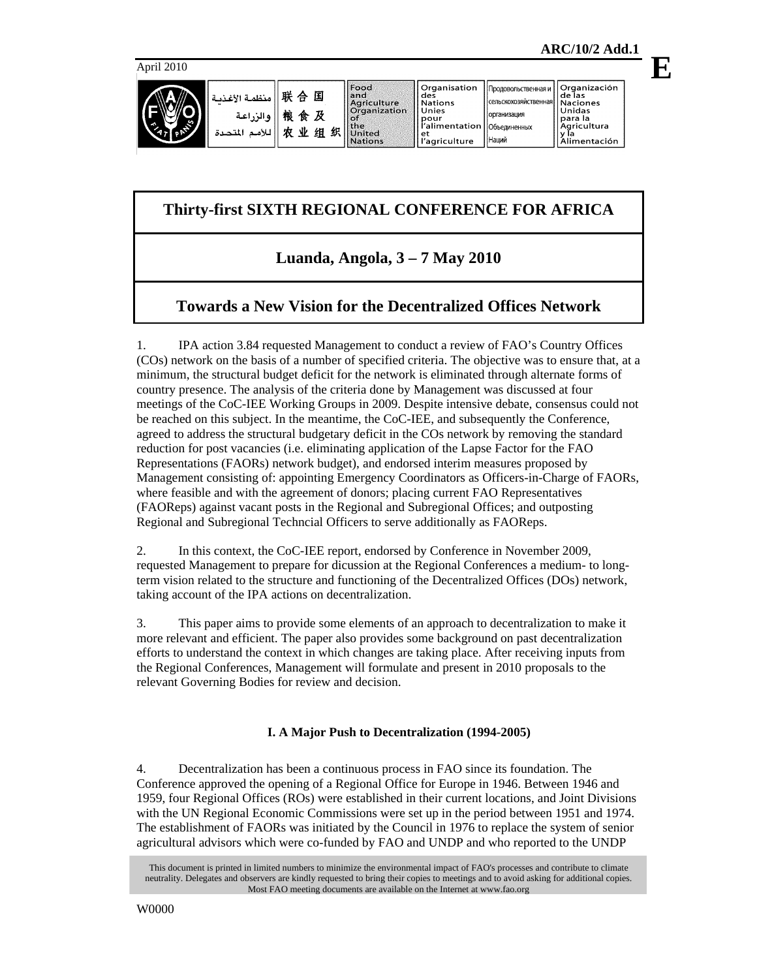**E**



圓 and<br>Agricul<br>Organiz 及 the 组织

|        | Organisation                          | Продовольственная в |
|--------|---------------------------------------|---------------------|
| ture   | des<br><b>Nations</b>                 | сельскохозяйственна |
| zation | Unies                                 | организация         |
|        | pour<br>l'alimentation   Объединенных |                     |
|        | l'agriculture                         | <b>Наций</b>        |

Organización<br>de las сельскохозяйственн **Naciones** Unidas para la<br>Agricultura<br>y la<br>y limente de y ľa<br><u>Alimentación</u>

# **Thirty-first SIXTH REGIONAL CONFERENCE FOR AFRICA**

## **Luanda, Angola, 3 – 7 May 2010**

## **Towards a New Vision for the Decentralized Offices Network**

1. IPA action 3.84 requested Management to conduct a review of FAO's Country Offices (COs) network on the basis of a number of specified criteria. The objective was to ensure that, at a minimum, the structural budget deficit for the network is eliminated through alternate forms of country presence. The analysis of the criteria done by Management was discussed at four meetings of the CoC-IEE Working Groups in 2009. Despite intensive debate, consensus could not be reached on this subject. In the meantime, the CoC-IEE, and subsequently the Conference, agreed to address the structural budgetary deficit in the COs network by removing the standard reduction for post vacancies (i.e. eliminating application of the Lapse Factor for the FAO Representations (FAORs) network budget), and endorsed interim measures proposed by Management consisting of: appointing Emergency Coordinators as Officers-in-Charge of FAORs, where feasible and with the agreement of donors; placing current FAO Representatives (FAOReps) against vacant posts in the Regional and Subregional Offices; and outposting Regional and Subregional Techncial Officers to serve additionally as FAOReps.

2. In this context, the CoC-IEE report, endorsed by Conference in November 2009, requested Management to prepare for dicussion at the Regional Conferences a medium- to longterm vision related to the structure and functioning of the Decentralized Offices (DOs) network, taking account of the IPA actions on decentralization.

3. This paper aims to provide some elements of an approach to decentralization to make it more relevant and efficient. The paper also provides some background on past decentralization efforts to understand the context in which changes are taking place. After receiving inputs from the Regional Conferences, Management will formulate and present in 2010 proposals to the relevant Governing Bodies for review and decision.

## **I. A Major Push to Decentralization (1994-2005)**

4. Decentralization has been a continuous process in FAO since its foundation. The Conference approved the opening of a Regional Office for Europe in 1946. Between 1946 and 1959, four Regional Offices (ROs) were established in their current locations, and Joint Divisions with the UN Regional Economic Commissions were set up in the period between 1951 and 1974. The establishment of FAORs was initiated by the Council in 1976 to replace the system of senior agricultural advisors which were co-funded by FAO and UNDP and who reported to the UNDP

This document is printed in limited numbers to minimize the environmental impact of FAO's processes and contribute to climate neutrality. Delegates and observers are kindly requested to bring their copies to meetings and to avoid asking for additional copies. Most FAO meeting documents are available on the Internet at www.fao.org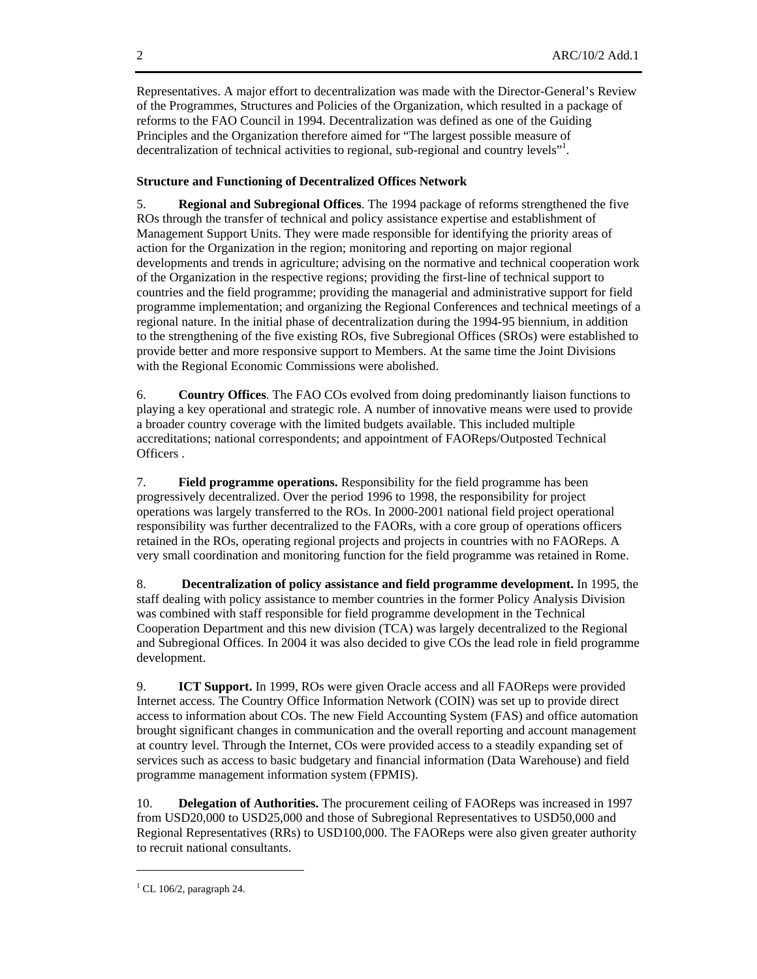Representatives. A major effort to decentralization was made with the Director-General's Review of the Programmes, Structures and Policies of the Organization, which resulted in a package of reforms to the FAO Council in 1994. Decentralization was defined as one of the Guiding Principles and the Organization therefore aimed for "The largest possible measure of decentralization of technical activities to regional, sub-regional and country levels"<sup>1</sup>.

### **Structure and Functioning of Decentralized Offices Network**

5. **Regional and Subregional Offices**. The 1994 package of reforms strengthened the five ROs through the transfer of technical and policy assistance expertise and establishment of Management Support Units. They were made responsible for identifying the priority areas of action for the Organization in the region; monitoring and reporting on major regional developments and trends in agriculture; advising on the normative and technical cooperation work of the Organization in the respective regions; providing the first-line of technical support to countries and the field programme; providing the managerial and administrative support for field programme implementation; and organizing the Regional Conferences and technical meetings of a regional nature. In the initial phase of decentralization during the 1994-95 biennium, in addition to the strengthening of the five existing ROs, five Subregional Offices (SROs) were established to provide better and more responsive support to Members. At the same time the Joint Divisions with the Regional Economic Commissions were abolished.

6. **Country Offices**. The FAO COs evolved from doing predominantly liaison functions to playing a key operational and strategic role. A number of innovative means were used to provide a broader country coverage with the limited budgets available. This included multiple accreditations; national correspondents; and appointment of FAOReps/Outposted Technical Officers .

7. **Field programme operations.** Responsibility for the field programme has been progressively decentralized. Over the period 1996 to 1998, the responsibility for project operations was largely transferred to the ROs. In 2000-2001 national field project operational responsibility was further decentralized to the FAORs, with a core group of operations officers retained in the ROs, operating regional projects and projects in countries with no FAOReps. A very small coordination and monitoring function for the field programme was retained in Rome.

8. **Decentralization of policy assistance and field programme development.** In 1995, the staff dealing with policy assistance to member countries in the former Policy Analysis Division was combined with staff responsible for field programme development in the Technical Cooperation Department and this new division (TCA) was largely decentralized to the Regional and Subregional Offices. In 2004 it was also decided to give COs the lead role in field programme development.

9. **ICT Support.** In 1999, ROs were given Oracle access and all FAOReps were provided Internet access. The Country Office Information Network (COIN) was set up to provide direct access to information about COs. The new Field Accounting System (FAS) and office automation brought significant changes in communication and the overall reporting and account management at country level. Through the Internet, COs were provided access to a steadily expanding set of services such as access to basic budgetary and financial information (Data Warehouse) and field programme management information system (FPMIS).

10. **Delegation of Authorities.** The procurement ceiling of FAOReps was increased in 1997 from USD20,000 to USD25,000 and those of Subregional Representatives to USD50,000 and Regional Representatives (RRs) to USD100,000. The FAOReps were also given greater authority to recruit national consultants.

 $\overline{a}$ 

 $1$  CL 106/2, paragraph 24.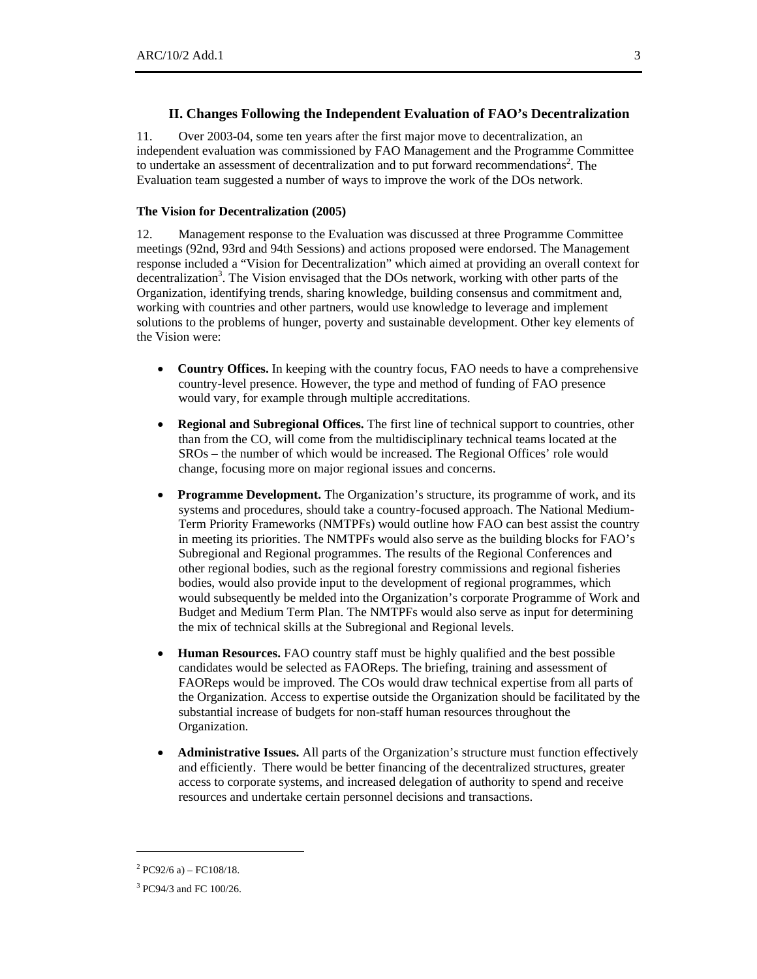### **II. Changes Following the Independent Evaluation of FAO's Decentralization**

11. Over 2003-04, some ten years after the first major move to decentralization, an independent evaluation was commissioned by FAO Management and the Programme Committee to undertake an assessment of decentralization and to put forward recommendations<sup>2</sup>. The Evaluation team suggested a number of ways to improve the work of the DOs network.

### **The Vision for Decentralization (2005)**

12. Management response to the Evaluation was discussed at three Programme Committee meetings (92nd, 93rd and 94th Sessions) and actions proposed were endorsed. The Management response included a "Vision for Decentralization" which aimed at providing an overall context for decentralization<sup>3</sup>. The Vision envisaged that the DOs network, working with other parts of the Organization, identifying trends, sharing knowledge, building consensus and commitment and, working with countries and other partners, would use knowledge to leverage and implement solutions to the problems of hunger, poverty and sustainable development. Other key elements of the Vision were:

- **Country Offices.** In keeping with the country focus, FAO needs to have a comprehensive country-level presence. However, the type and method of funding of FAO presence would vary, for example through multiple accreditations.
- **Regional and Subregional Offices.** The first line of technical support to countries, other than from the CO, will come from the multidisciplinary technical teams located at the SROs – the number of which would be increased. The Regional Offices' role would change, focusing more on major regional issues and concerns.
- **Programme Development.** The Organization's structure, its programme of work, and its systems and procedures, should take a country-focused approach. The National Medium-Term Priority Frameworks (NMTPFs) would outline how FAO can best assist the country in meeting its priorities. The NMTPFs would also serve as the building blocks for FAO's Subregional and Regional programmes. The results of the Regional Conferences and other regional bodies, such as the regional forestry commissions and regional fisheries bodies, would also provide input to the development of regional programmes, which would subsequently be melded into the Organization's corporate Programme of Work and Budget and Medium Term Plan. The NMTPFs would also serve as input for determining the mix of technical skills at the Subregional and Regional levels.
- **Human Resources.** FAO country staff must be highly qualified and the best possible candidates would be selected as FAOReps. The briefing, training and assessment of FAOReps would be improved. The COs would draw technical expertise from all parts of the Organization. Access to expertise outside the Organization should be facilitated by the substantial increase of budgets for non-staff human resources throughout the Organization.
- **Administrative Issues.** All parts of the Organization's structure must function effectively and efficiently. There would be better financing of the decentralized structures, greater access to corporate systems, and increased delegation of authority to spend and receive resources and undertake certain personnel decisions and transactions.

 $\overline{a}$ 

 $^{2}$  PC92/6 a) – FC108/18.

<sup>3</sup> PC94/3 and FC 100/26.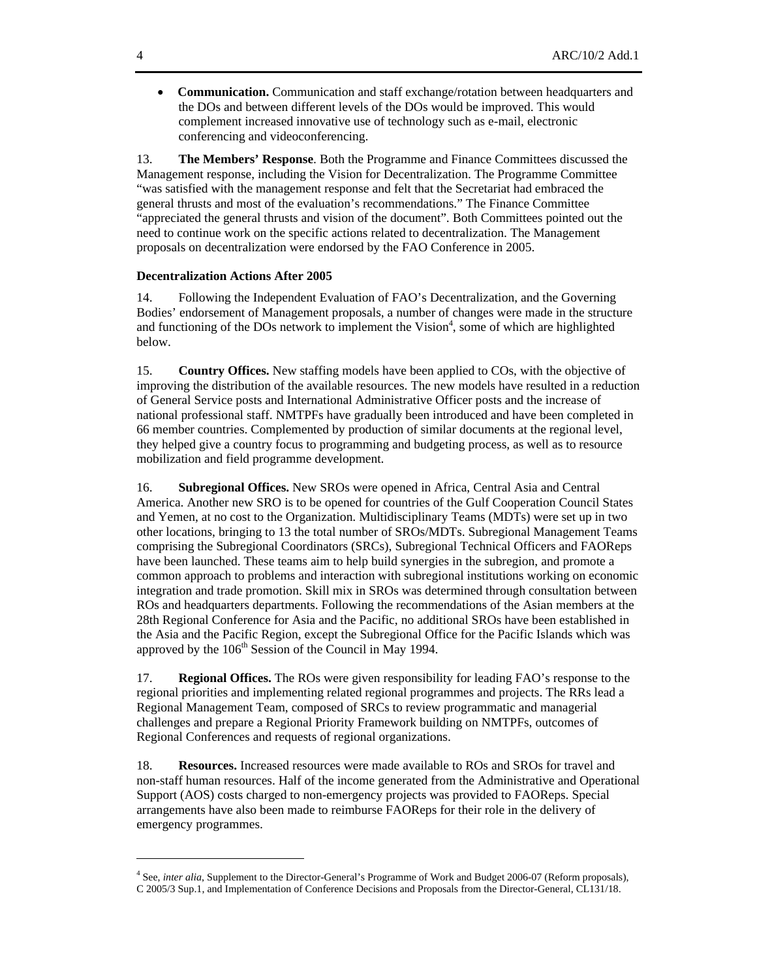• **Communication.** Communication and staff exchange/rotation between headquarters and the DOs and between different levels of the DOs would be improved. This would complement increased innovative use of technology such as e-mail, electronic conferencing and videoconferencing.

13. **The Members' Response**. Both the Programme and Finance Committees discussed the Management response, including the Vision for Decentralization. The Programme Committee "was satisfied with the management response and felt that the Secretariat had embraced the general thrusts and most of the evaluation's recommendations." The Finance Committee "appreciated the general thrusts and vision of the document". Both Committees pointed out the need to continue work on the specific actions related to decentralization. The Management proposals on decentralization were endorsed by the FAO Conference in 2005.

#### **Decentralization Actions After 2005**

14. Following the Independent Evaluation of FAO's Decentralization, and the Governing Bodies' endorsement of Management proposals, a number of changes were made in the structure and functioning of the DOs network to implement the Vision<sup>4</sup>, some of which are highlighted below.

15. **Country Offices.** New staffing models have been applied to COs, with the objective of improving the distribution of the available resources. The new models have resulted in a reduction of General Service posts and International Administrative Officer posts and the increase of national professional staff. NMTPFs have gradually been introduced and have been completed in 66 member countries. Complemented by production of similar documents at the regional level, they helped give a country focus to programming and budgeting process, as well as to resource mobilization and field programme development.

16. **Subregional Offices.** New SROs were opened in Africa, Central Asia and Central America. Another new SRO is to be opened for countries of the Gulf Cooperation Council States and Yemen, at no cost to the Organization. Multidisciplinary Teams (MDTs) were set up in two other locations, bringing to 13 the total number of SROs/MDTs. Subregional Management Teams comprising the Subregional Coordinators (SRCs), Subregional Technical Officers and FAOReps have been launched. These teams aim to help build synergies in the subregion, and promote a common approach to problems and interaction with subregional institutions working on economic integration and trade promotion. Skill mix in SROs was determined through consultation between ROs and headquarters departments. Following the recommendations of the Asian members at the 28th Regional Conference for Asia and the Pacific, no additional SROs have been established in the Asia and the Pacific Region, except the Subregional Office for the Pacific Islands which was approved by the  $106<sup>th</sup>$  Session of the Council in May 1994.

17. **Regional Offices.** The ROs were given responsibility for leading FAO's response to the regional priorities and implementing related regional programmes and projects. The RRs lead a Regional Management Team, composed of SRCs to review programmatic and managerial challenges and prepare a Regional Priority Framework building on NMTPFs, outcomes of Regional Conferences and requests of regional organizations.

18. **Resources.** Increased resources were made available to ROs and SROs for travel and non-staff human resources. Half of the income generated from the Administrative and Operational Support (AOS) costs charged to non-emergency projects was provided to FAOReps. Special arrangements have also been made to reimburse FAOReps for their role in the delivery of emergency programmes.

 $\overline{a}$ 

<sup>4</sup> See, *inter alia*, Supplement to the Director-General's Programme of Work and Budget 2006-07 (Reform proposals), C 2005/3 Sup.1, and Implementation of Conference Decisions and Proposals from the Director-General, CL131/18.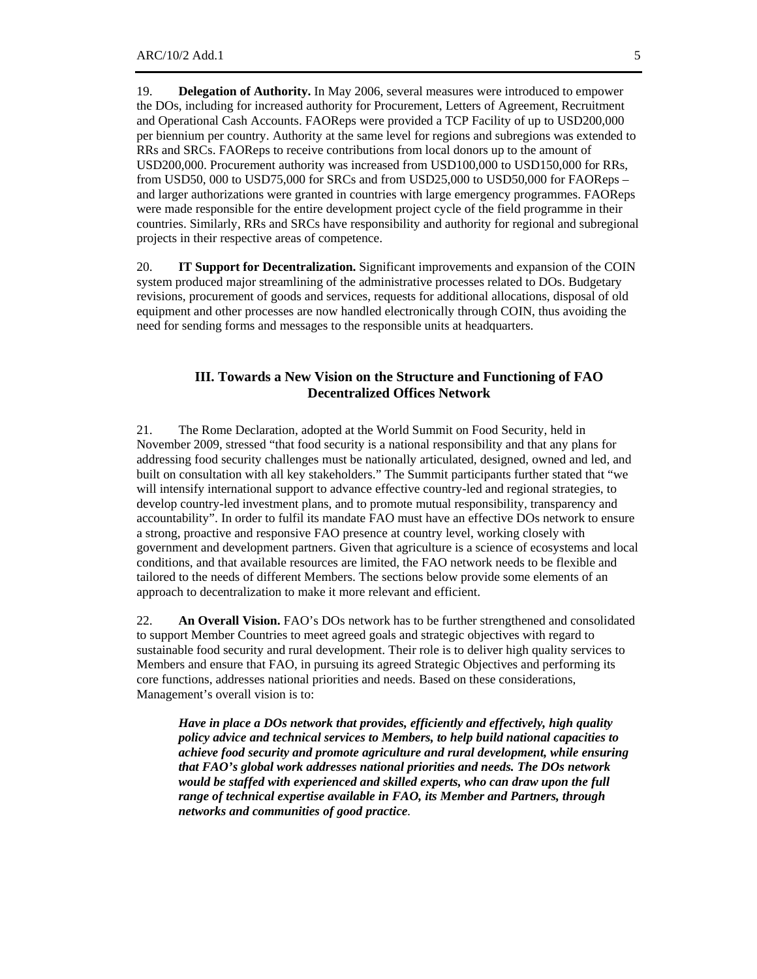19. **Delegation of Authority.** In May 2006, several measures were introduced to empower the DOs, including for increased authority for Procurement, Letters of Agreement, Recruitment and Operational Cash Accounts. FAOReps were provided a TCP Facility of up to USD200,000 per biennium per country. Authority at the same level for regions and subregions was extended to RRs and SRCs. FAOReps to receive contributions from local donors up to the amount of USD200,000. Procurement authority was increased from USD100,000 to USD150,000 for RRs, from USD50, 000 to USD75,000 for SRCs and from USD25,000 to USD50,000 for FAOReps – and larger authorizations were granted in countries with large emergency programmes. FAOReps were made responsible for the entire development project cycle of the field programme in their countries. Similarly, RRs and SRCs have responsibility and authority for regional and subregional projects in their respective areas of competence.

20. **IT Support for Decentralization.** Significant improvements and expansion of the COIN system produced major streamlining of the administrative processes related to DOs. Budgetary revisions, procurement of goods and services, requests for additional allocations, disposal of old equipment and other processes are now handled electronically through COIN, thus avoiding the need for sending forms and messages to the responsible units at headquarters.

## **III. Towards a New Vision on the Structure and Functioning of FAO Decentralized Offices Network**

21. The Rome Declaration, adopted at the World Summit on Food Security, held in November 2009, stressed "that food security is a national responsibility and that any plans for addressing food security challenges must be nationally articulated, designed, owned and led, and built on consultation with all key stakeholders." The Summit participants further stated that "we will intensify international support to advance effective country-led and regional strategies, to develop country-led investment plans, and to promote mutual responsibility, transparency and accountability". In order to fulfil its mandate FAO must have an effective DOs network to ensure a strong, proactive and responsive FAO presence at country level, working closely with government and development partners. Given that agriculture is a science of ecosystems and local conditions, and that available resources are limited, the FAO network needs to be flexible and tailored to the needs of different Members. The sections below provide some elements of an approach to decentralization to make it more relevant and efficient.

22. **An Overall Vision.** FAO's DOs network has to be further strengthened and consolidated to support Member Countries to meet agreed goals and strategic objectives with regard to sustainable food security and rural development. Their role is to deliver high quality services to Members and ensure that FAO, in pursuing its agreed Strategic Objectives and performing its core functions, addresses national priorities and needs. Based on these considerations, Management's overall vision is to:

*Have in place a DOs network that provides, efficiently and effectively, high quality policy advice and technical services to Members, to help build national capacities to achieve food security and promote agriculture and rural development, while ensuring that FAO's global work addresses national priorities and needs. The DOs network would be staffed with experienced and skilled experts, who can draw upon the full range of technical expertise available in FAO, its Member and Partners, through networks and communities of good practice.*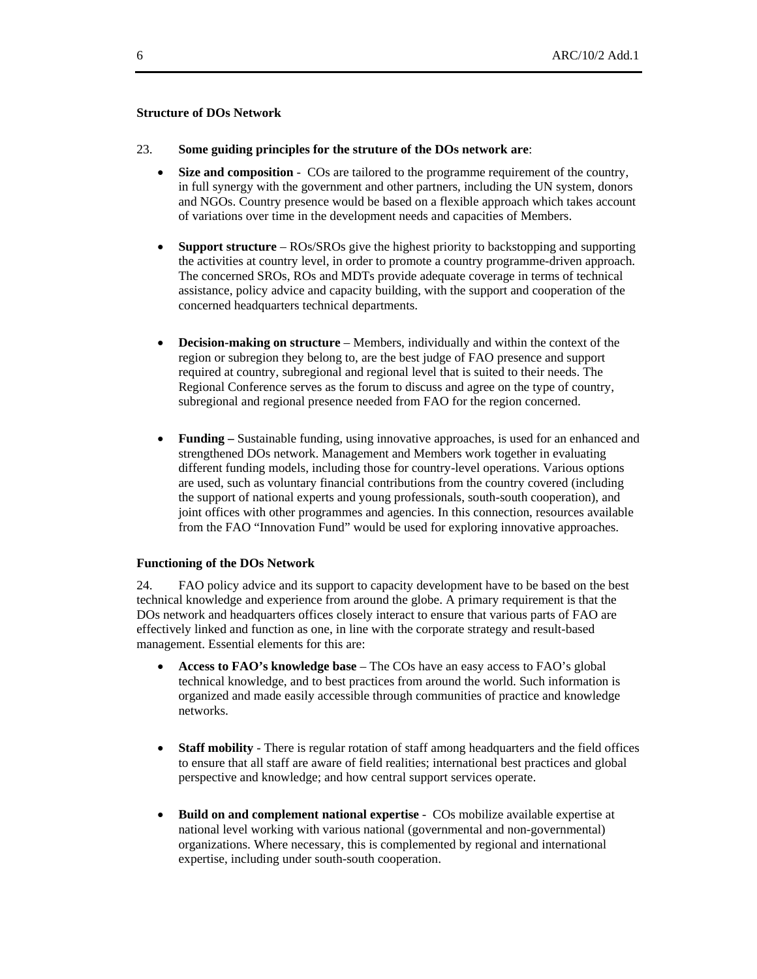#### **Structure of DOs Network**

- 23. **Some guiding principles for the struture of the DOs network are**:
	- **Size and composition** COs are tailored to the programme requirement of the country, in full synergy with the government and other partners, including the UN system, donors and NGOs. Country presence would be based on a flexible approach which takes account of variations over time in the development needs and capacities of Members.
	- **Support structure** ROs/SROs give the highest priority to backstopping and supporting the activities at country level, in order to promote a country programme-driven approach. The concerned SROs, ROs and MDTs provide adequate coverage in terms of technical assistance, policy advice and capacity building, with the support and cooperation of the concerned headquarters technical departments.
	- **Decision-making on structure** Members, individually and within the context of the region or subregion they belong to, are the best judge of FAO presence and support required at country, subregional and regional level that is suited to their needs. The Regional Conference serves as the forum to discuss and agree on the type of country, subregional and regional presence needed from FAO for the region concerned.
	- **Funding** Sustainable funding, using innovative approaches, is used for an enhanced and strengthened DOs network. Management and Members work together in evaluating different funding models, including those for country-level operations. Various options are used, such as voluntary financial contributions from the country covered (including the support of national experts and young professionals, south-south cooperation), and joint offices with other programmes and agencies. In this connection, resources available from the FAO "Innovation Fund" would be used for exploring innovative approaches.

#### **Functioning of the DOs Network**

24. FAO policy advice and its support to capacity development have to be based on the best technical knowledge and experience from around the globe. A primary requirement is that the DOs network and headquarters offices closely interact to ensure that various parts of FAO are effectively linked and function as one, in line with the corporate strategy and result-based management. Essential elements for this are:

- **Access to FAO's knowledge base** The COs have an easy access to FAO's global technical knowledge, and to best practices from around the world. Such information is organized and made easily accessible through communities of practice and knowledge networks.
- **Staff mobility** There is regular rotation of staff among headquarters and the field offices to ensure that all staff are aware of field realities; international best practices and global perspective and knowledge; and how central support services operate.
- **Build on and complement national expertise** COs mobilize available expertise at national level working with various national (governmental and non-governmental) organizations. Where necessary, this is complemented by regional and international expertise, including under south-south cooperation.